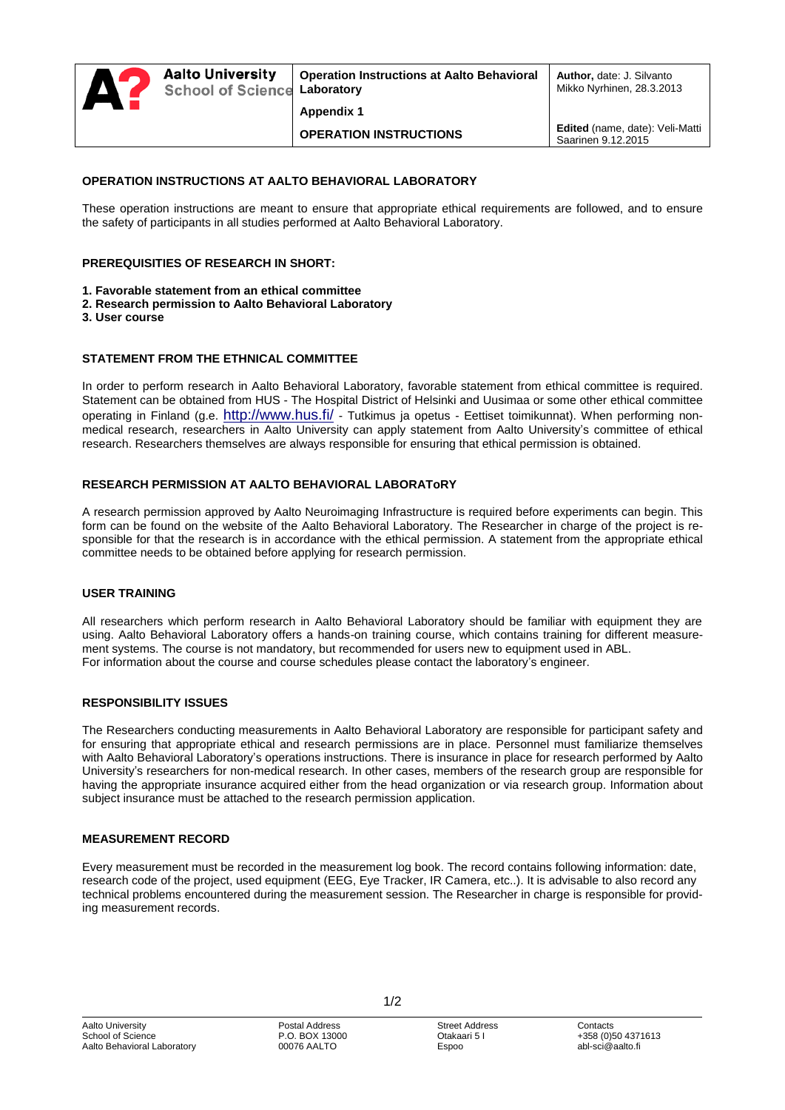# **OPERATION INSTRUCTIONS AT AALTO BEHAVIORAL LABORATORY**

These operation instructions are meant to ensure that appropriate ethical requirements are followed, and to ensure the safety of participants in all studies performed at Aalto Behavioral Laboratory.

## **PREREQUISITIES OF RESEARCH IN SHORT:**

- **1. Favorable statement from an ethical committee**
- **2. Research permission to Aalto Behavioral Laboratory**
- **3. User course**

## **STATEMENT FROM THE ETHNICAL COMMITTEE**

In order to perform research in Aalto Behavioral Laboratory, favorable statement from ethical committee is required. Statement can be obtained from HUS - The Hospital District of Helsinki and Uusimaa or some other ethical committee operating in Finland (g.e. <http://www.hus.fi/> - Tutkimus ja opetus - Eettiset toimikunnat). When performing nonmedical research, researchers in Aalto University can apply statement from Aalto University's committee of ethical research. Researchers themselves are always responsible for ensuring that ethical permission is obtained.

## **RESEARCH PERMISSION AT AALTO BEHAVIORAL LABORAToRY**

A research permission approved by Aalto Neuroimaging Infrastructure is required before experiments can begin. This form can be found on the website of the Aalto Behavioral Laboratory. The Researcher in charge of the project is responsible for that the research is in accordance with the ethical permission. A statement from the appropriate ethical committee needs to be obtained before applying for research permission.

### **USER TRAINING**

All researchers which perform research in Aalto Behavioral Laboratory should be familiar with equipment they are using. Aalto Behavioral Laboratory offers a hands-on training course, which contains training for different measurement systems. The course is not mandatory, but recommended for users new to equipment used in ABL. For information about the course and course schedules please contact the laboratory's engineer.

### **RESPONSIBILITY ISSUES**

The Researchers conducting measurements in Aalto Behavioral Laboratory are responsible for participant safety and for ensuring that appropriate ethical and research permissions are in place. Personnel must familiarize themselves with Aalto Behavioral Laboratory's operations instructions. There is insurance in place for research performed by Aalto University's researchers for non-medical research. In other cases, members of the research group are responsible for having the appropriate insurance acquired either from the head organization or via research group. Information about subject insurance must be attached to the research permission application.

### **MEASUREMENT RECORD**

Every measurement must be recorded in the measurement log book. The record contains following information: date, research code of the project, used equipment (EEG, Eye Tracker, IR Camera, etc..). It is advisable to also record any technical problems encountered during the measurement session. The Researcher in charge is responsible for providing measurement records.

1/2